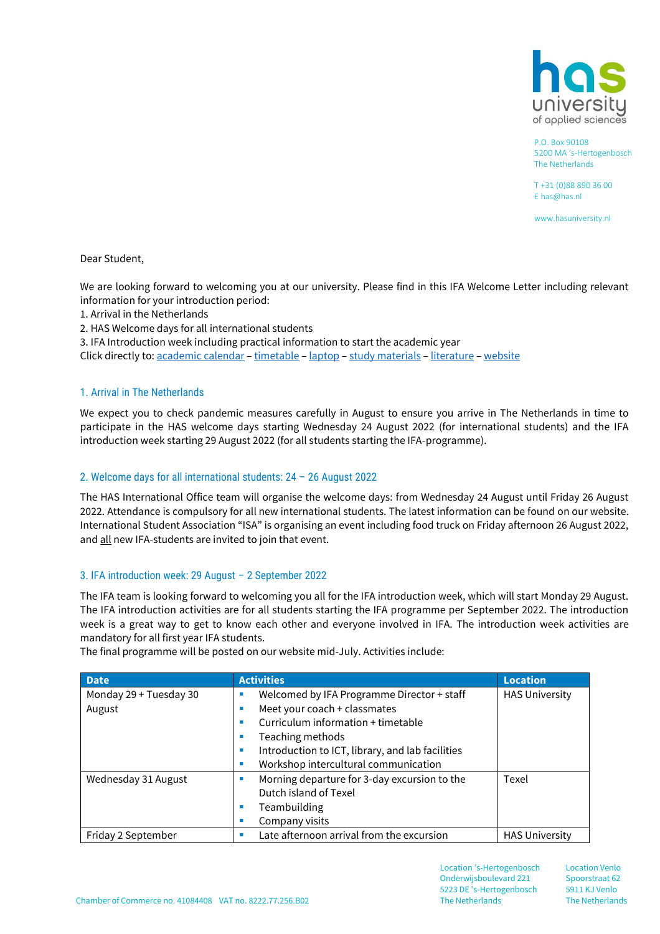

P.O. Box 90108 5200 MA 's-Hertogenbosch The Netherlands

T +31 (0)88 890 36 00 [E has@has.nl](mailto:E%20has@has.nl)

[www.hasuniversity.nl](https://www.has.nl/en)

Dear Student,

We are looking forward to welcoming you at our university. Please find in this IFA Welcome Letter including relevant information for your introduction period:

1. Arrival in the Netherlands

2. HAS Welcome days for all international students

3. IFA Introduction week including practical information to start the academic year

Click directly to[: academic calendar](#page-1-0) – [timetable](#page-1-1) – [laptop](#page-1-2) – [study materials](#page-1-3) – [literature](#page-1-4) – website

#### 1. Arrival in The Netherlands

We expect you to check pandemic measures carefully in August to ensure you arrive in The Netherlands in time to participate in the HAS welcome days starting Wednesday 24 August 2022 (for international students) and the IFA introduction week starting 29 August 2022 (for all students starting the IFA-programme).

### 2. Welcome days for all international students: 24 – 26 August 2022

The HAS International Office team will organise the welcome days: from Wednesday 24 August until Friday 26 August 2022. Attendance is compulsory for all new international students. The latest information can be found on our website. International Student Association "ISA" is organising an event including food truck on Friday afternoon 26 August 2022, and all new IFA-students are invited to join that event.

#### 3. IFA introduction week: 29 August – 2 September 2022

The IFA team is looking forward to welcoming you all for the IFA introduction week, which will start Monday 29 August. The IFA introduction activities are for all students starting the IFA programme per September 2022. The introduction week is a great way to get to know each other and everyone involved in IFA. The introduction week activities are mandatory for all first year IFA students.

| <b>Date</b>            | <b>Activities</b>                                     | <b>Location</b>       |
|------------------------|-------------------------------------------------------|-----------------------|
| Monday 29 + Tuesday 30 | Welcomed by IFA Programme Director + staff<br>ш       | <b>HAS University</b> |
| August                 | Meet your coach + classmates                          |                       |
|                        | Curriculum information + timetable<br>ш               |                       |
|                        | Teaching methods                                      |                       |
|                        | Introduction to ICT, library, and lab facilities<br>п |                       |
|                        | Workshop intercultural communication                  |                       |
| Wednesday 31 August    | Morning departure for 3-day excursion to the          | Texel                 |
|                        | Dutch island of Texel                                 |                       |
|                        | Teambuilding<br>ш                                     |                       |
|                        | Company visits                                        |                       |
| Friday 2 September     | Late afternoon arrival from the excursion             | <b>HAS University</b> |

The final programme will be posted on our website mid-July. Activities include:

Location 's-Hertogenbosch Onderwijsboulevard 221 5223 DE 's-Hertogenbosch The Netherlands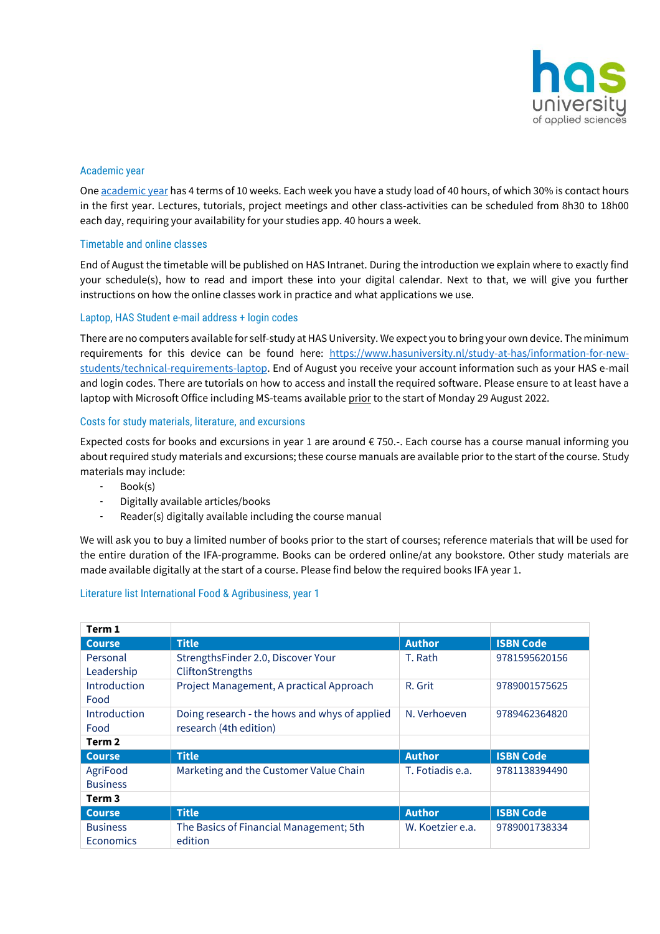

## <span id="page-1-0"></span>Academic year

On[e academic year](https://www.hasuniversity.nl/study-at-has/information-for-new-students/academic-calendar) has 4 terms of 10 weeks. Each week you have a study load of 40 hours, of which 30% is contact hours in the first year. Lectures, tutorials, project meetings and other class-activities can be scheduled from 8h30 to 18h00 each day, requiring your availability for your studies app. 40 hours a week.

# <span id="page-1-1"></span>Timetable and online classes

End of August the timetable will be published on HAS Intranet. During the introduction we explain where to exactly find your schedule(s), how to read and import these into your digital calendar. Next to that, we will give you further instructions on how the online classes work in practice and what applications we use.

# <span id="page-1-2"></span>Laptop, HAS Student e-mail address + login codes

There are no computers available for self-study at HAS University. We expect you to bring your own device. The minimum requirements for this device can be found here: [https://www.hasuniversity.nl/study-at-has/information-for-new](https://www.hasuniversity.nl/study-at-has/information-for-new-students/technical-requirements-laptop)[students/technical-requirements-laptop.](https://www.hasuniversity.nl/study-at-has/information-for-new-students/technical-requirements-laptop) End of August you receive your account information such as your HAS e-mail and login codes. There are tutorials on how to access and install the required software. Please ensure to at least have a laptop with Microsoft Office including MS-teams available prior to the start of Monday 29 August 2022.

# <span id="page-1-3"></span>Costs for study materials, literature, and excursions

Expected costs for books and excursions in year 1 are around € 750.-. Each course has a course manual informing you about required study materials and excursions; these course manuals are available prior to the start of the course. Study materials may include:

- Book(s)
- Digitally available articles/books
- <span id="page-1-4"></span>Reader(s) digitally available including the course manual

We will ask you to buy a limited number of books prior to the start of courses; reference materials that will be used for the entire duration of the IFA-programme. Books can be ordered online/at any bookstore. Other study materials are made available digitally at the start of a course. Please find below the required books IFA year 1.

### Literature list International Food & Agribusiness, year 1

| Term 1            |                                               |                  |                  |
|-------------------|-----------------------------------------------|------------------|------------------|
| <b>Course</b>     | <b>Title</b>                                  | <b>Author</b>    | <b>ISBN Code</b> |
| Personal          | StrengthsFinder 2.0, Discover Your            | T. Rath          | 9781595620156    |
| Leadership        | CliftonStrengths                              |                  |                  |
| Introduction      | Project Management, A practical Approach      | R. Grit          | 9789001575625    |
| Food              |                                               |                  |                  |
| Introduction      | Doing research - the hows and whys of applied | N. Verhoeven     | 9789462364820    |
| Food              | research (4th edition)                        |                  |                  |
| Term <sub>2</sub> |                                               |                  |                  |
| <b>Course</b>     | <b>Title</b>                                  | <b>Author</b>    | <b>ISBN Code</b> |
| AgriFood          | Marketing and the Customer Value Chain        | T. Fotiadis e.a. | 9781138394490    |
| <b>Business</b>   |                                               |                  |                  |
| Term 3            |                                               |                  |                  |
| <b>Course</b>     | <b>Title</b>                                  | <b>Author</b>    | <b>ISBN Code</b> |
| <b>Business</b>   | The Basics of Financial Management; 5th       | W. Koetzier e.a. | 9789001738334    |
| <b>Economics</b>  | edition                                       |                  |                  |